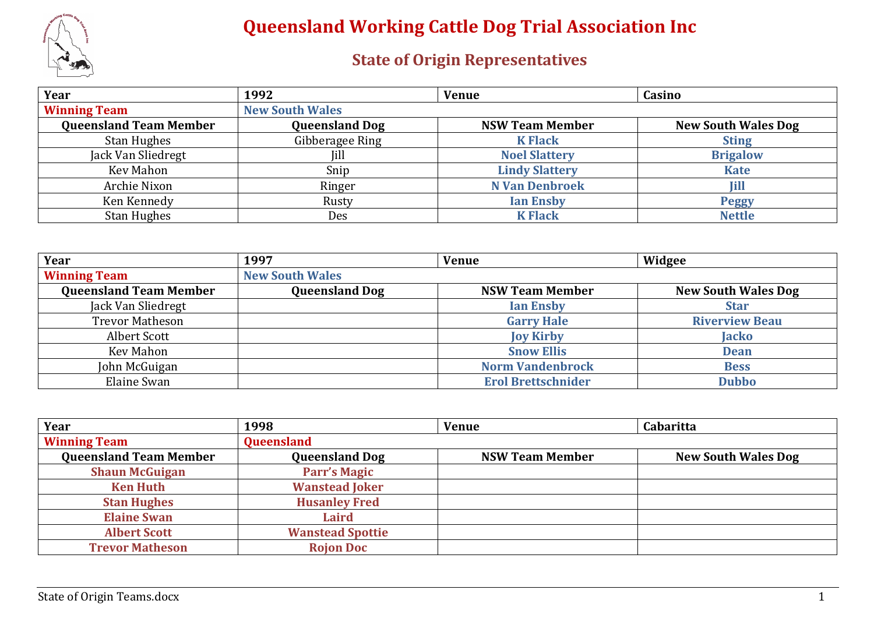

| Year                          | 1992                   | <b>Venue</b>           | Casino                     |
|-------------------------------|------------------------|------------------------|----------------------------|
| <b>Winning Team</b>           | <b>New South Wales</b> |                        |                            |
| <b>Queensland Team Member</b> | <b>Queensland Dog</b>  | <b>NSW Team Member</b> | <b>New South Wales Dog</b> |
| <b>Stan Hughes</b>            | Gibberagee Ring        | <b>K Flack</b>         | <b>Sting</b>               |
| Jack Van Sliedregt            | Jill                   | <b>Noel Slattery</b>   | <b>Brigalow</b>            |
| Kev Mahon                     | Snip                   | <b>Lindy Slattery</b>  | <b>Kate</b>                |
| Archie Nixon                  | Ringer                 | <b>N Van Denbroek</b>  | <b>Jill</b>                |
| Ken Kennedy                   | Rusty                  | <b>Ian Ensby</b>       | <b>Peggy</b>               |
| <b>Stan Hughes</b>            | Des                    | <b>K Flack</b>         | <b>Nettle</b>              |

| Year                          | 1997                   | <b>Venue</b>              | Widgee                     |
|-------------------------------|------------------------|---------------------------|----------------------------|
| <b>Winning Team</b>           | <b>New South Wales</b> |                           |                            |
| <b>Queensland Team Member</b> | <b>Queensland Dog</b>  | <b>NSW Team Member</b>    | <b>New South Wales Dog</b> |
| Jack Van Sliedregt            |                        | <b>Ian Ensby</b>          | <b>Star</b>                |
| <b>Trevor Matheson</b>        |                        | <b>Garry Hale</b>         | <b>Riverview Beau</b>      |
| Albert Scott                  |                        | <b>Joy Kirby</b>          | Jacko                      |
| <b>Kev Mahon</b>              |                        | <b>Snow Ellis</b>         | <b>Dean</b>                |
| John McGuigan                 |                        | <b>Norm Vandenbrock</b>   | <b>Bess</b>                |
| Elaine Swan                   |                        | <b>Erol Brettschnider</b> | <b>Dubbo</b>               |

| Year                          | 1998                    | <b>Venue</b>           | Cabaritta                  |
|-------------------------------|-------------------------|------------------------|----------------------------|
| <b>Winning Team</b>           | Queensland              |                        |                            |
| <b>Queensland Team Member</b> | <b>Queensland Dog</b>   | <b>NSW Team Member</b> | <b>New South Wales Dog</b> |
| <b>Shaun McGuigan</b>         | <b>Parr's Magic</b>     |                        |                            |
| <b>Ken Huth</b>               | <b>Wanstead Joker</b>   |                        |                            |
| <b>Stan Hughes</b>            | <b>Husanley Fred</b>    |                        |                            |
| <b>Elaine Swan</b>            | <b>Laird</b>            |                        |                            |
| <b>Albert Scott</b>           | <b>Wanstead Spottie</b> |                        |                            |
| <b>Trevor Matheson</b>        | <b>Rojon Doc</b>        |                        |                            |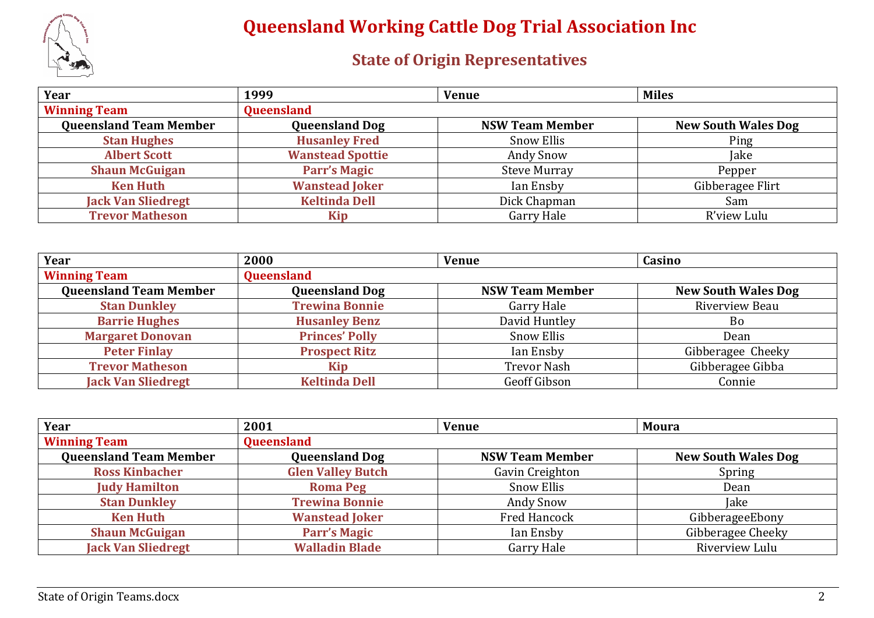

| Year                          | 1999                    | <b>Venue</b>           | <b>Miles</b>               |
|-------------------------------|-------------------------|------------------------|----------------------------|
| <b>Winning Team</b>           | <b>Queensland</b>       |                        |                            |
| <b>Queensland Team Member</b> | <b>Queensland Dog</b>   | <b>NSW Team Member</b> | <b>New South Wales Dog</b> |
| <b>Stan Hughes</b>            | <b>Husanley Fred</b>    | <b>Snow Ellis</b>      | Ping                       |
| <b>Albert Scott</b>           | <b>Wanstead Spottie</b> | <b>Andy Snow</b>       | Jake                       |
| <b>Shaun McGuigan</b>         | <b>Parr's Magic</b>     | <b>Steve Murray</b>    | Pepper                     |
| <b>Ken Huth</b>               | <b>Wanstead Joker</b>   | Ian Ensby              | Gibberagee Flirt           |
| <b>Jack Van Sliedregt</b>     | <b>Keltinda Dell</b>    | Dick Chapman           | Sam                        |
| <b>Trevor Matheson</b>        | Kip                     | <b>Garry Hale</b>      | R'view Lulu                |

| Year                          | 2000                  | <b>Venue</b>           | Casino                     |
|-------------------------------|-----------------------|------------------------|----------------------------|
| <b>Winning Team</b>           | Queensland            |                        |                            |
| <b>Queensland Team Member</b> | <b>Queensland Dog</b> | <b>NSW Team Member</b> | <b>New South Wales Dog</b> |
| <b>Stan Dunkley</b>           | <b>Trewina Bonnie</b> | Garry Hale             | Riverview Beau             |
| <b>Barrie Hughes</b>          | <b>Husanley Benz</b>  | David Huntley          | Bo                         |
| <b>Margaret Donovan</b>       | <b>Princes' Polly</b> | <b>Snow Ellis</b>      | Dean                       |
| <b>Peter Finlay</b>           | <b>Prospect Ritz</b>  | Ian Ensby              | Gibberagee Cheeky          |
| <b>Trevor Matheson</b>        | Kip                   | <b>Trevor Nash</b>     | Gibberagee Gibba           |
| <b>Jack Van Sliedregt</b>     | <b>Keltinda Dell</b>  | <b>Geoff Gibson</b>    | Connie                     |

| Year                          | 2001                     | <b>Venue</b>           | <b>Moura</b>               |
|-------------------------------|--------------------------|------------------------|----------------------------|
| <b>Winning Team</b>           | Queensland               |                        |                            |
| <b>Queensland Team Member</b> | <b>Queensland Dog</b>    | <b>NSW Team Member</b> | <b>New South Wales Dog</b> |
| <b>Ross Kinbacher</b>         | <b>Glen Valley Butch</b> | Gavin Creighton        | Spring                     |
| <b>Judy Hamilton</b>          | <b>Roma Peg</b>          | <b>Snow Ellis</b>      | Dean                       |
| <b>Stan Dunkley</b>           | <b>Trewina Bonnie</b>    | <b>Andy Snow</b>       | <b>Jake</b>                |
| <b>Ken Huth</b>               | <b>Wanstead Joker</b>    | <b>Fred Hancock</b>    | GibberageeEbony            |
| <b>Shaun McGuigan</b>         | <b>Parr's Magic</b>      | Ian Ensby              | Gibberagee Cheeky          |
| <b>Jack Van Sliedregt</b>     | <b>Walladin Blade</b>    | Garry Hale             | Riverview Lulu             |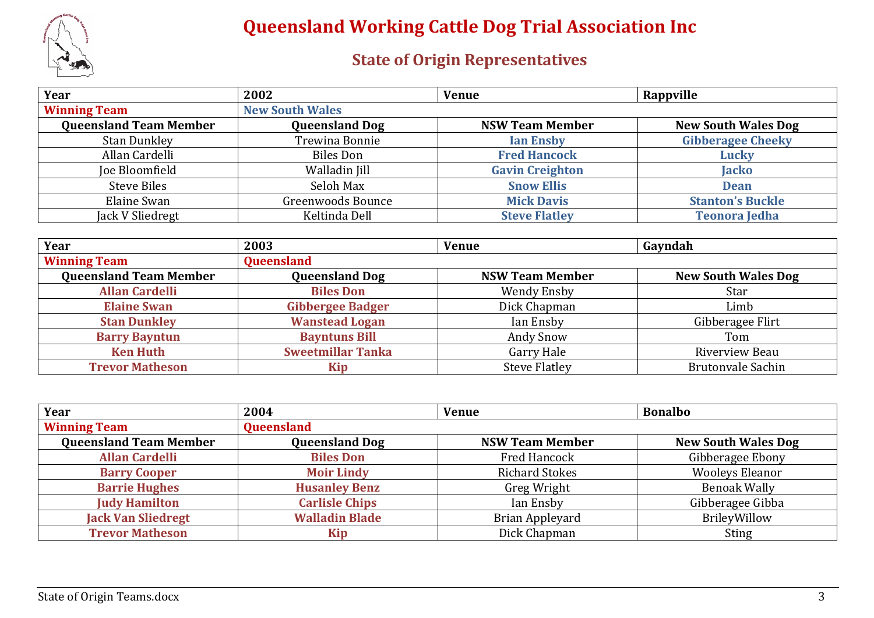

| Year                          | 2002                   | <b>Venue</b>           | Rappville                  |
|-------------------------------|------------------------|------------------------|----------------------------|
| <b>Winning Team</b>           | <b>New South Wales</b> |                        |                            |
| <b>Queensland Team Member</b> | <b>Queensland Dog</b>  | <b>NSW Team Member</b> | <b>New South Wales Dog</b> |
| <b>Stan Dunkley</b>           | Trewina Bonnie         | <b>Ian Ensby</b>       | <b>Gibberagee Cheeky</b>   |
| Allan Cardelli                | Biles Don              | <b>Fred Hancock</b>    | <b>Lucky</b>               |
| Joe Bloomfield                | Walladin Jill          | <b>Gavin Creighton</b> | <b>Jacko</b>               |
| <b>Steve Biles</b>            | Seloh Max              | <b>Snow Ellis</b>      | <b>Dean</b>                |
| Elaine Swan                   | Greenwoods Bounce      | <b>Mick Davis</b>      | <b>Stanton's Buckle</b>    |
| Jack V Sliedregt              | Keltinda Dell          | <b>Steve Flatley</b>   | <b>Teonora Jedha</b>       |

| Year                          | 2003                     | <b>Venue</b>           | Gayndah                    |
|-------------------------------|--------------------------|------------------------|----------------------------|
| <b>Winning Team</b>           | Queensland               |                        |                            |
| <b>Queensland Team Member</b> | <b>Queensland Dog</b>    | <b>NSW Team Member</b> | <b>New South Wales Dog</b> |
| <b>Allan Cardelli</b>         | <b>Biles Don</b>         | <b>Wendy Ensby</b>     | Star                       |
| <b>Elaine Swan</b>            | <b>Gibbergee Badger</b>  | Dick Chapman           | Limb                       |
| <b>Stan Dunkley</b>           | <b>Wanstead Logan</b>    | Ian Ensby              | Gibberagee Flirt           |
| <b>Barry Bayntun</b>          | <b>Bayntuns Bill</b>     | <b>Andy Snow</b>       | Tom                        |
| <b>Ken Huth</b>               | <b>Sweetmillar Tanka</b> | <b>Garry Hale</b>      | Riverview Beau             |
| <b>Trevor Matheson</b>        | Kip                      | <b>Steve Flatley</b>   | <b>Brutonvale Sachin</b>   |

| Year                          | 2004                  | <b>Venue</b>           | <b>Bonalbo</b>             |
|-------------------------------|-----------------------|------------------------|----------------------------|
| <b>Winning Team</b>           | <b>Queensland</b>     |                        |                            |
| <b>Queensland Team Member</b> | <b>Queensland Dog</b> | <b>NSW Team Member</b> | <b>New South Wales Dog</b> |
| <b>Allan Cardelli</b>         | <b>Biles Don</b>      | Fred Hancock           | Gibberagee Ebony           |
| <b>Barry Cooper</b>           | <b>Moir Lindy</b>     | <b>Richard Stokes</b>  | <b>Wooleys Eleanor</b>     |
| <b>Barrie Hughes</b>          | <b>Husanley Benz</b>  | Greg Wright            | <b>Benoak Wally</b>        |
| <b>Judy Hamilton</b>          | <b>Carlisle Chips</b> | Ian Ensby              | Gibberagee Gibba           |
| <b>Jack Van Sliedregt</b>     | <b>Walladin Blade</b> | <b>Brian Appleyard</b> | BrileyWillow               |
| <b>Trevor Matheson</b>        | Kip                   | Dick Chapman           | <b>Sting</b>               |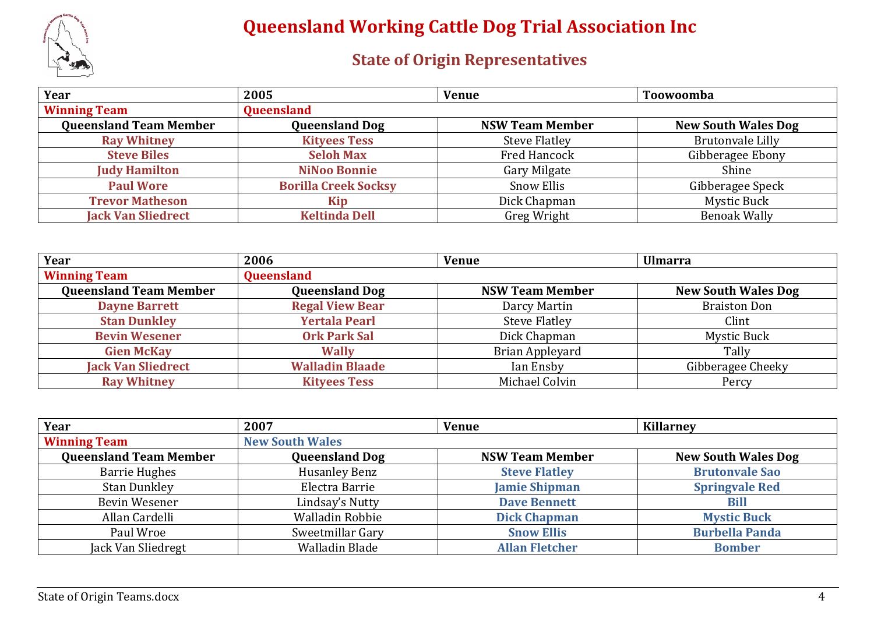

| Year                          | 2005                        | <b>Venue</b>           | Toowoomba                  |
|-------------------------------|-----------------------------|------------------------|----------------------------|
| <b>Winning Team</b>           | <b>Queensland</b>           |                        |                            |
| <b>Queensland Team Member</b> | <b>Queensland Dog</b>       | <b>NSW Team Member</b> | <b>New South Wales Dog</b> |
| <b>Ray Whitney</b>            | <b>Kityees Tess</b>         | <b>Steve Flatley</b>   | <b>Brutonvale Lilly</b>    |
| <b>Steve Biles</b>            | <b>Seloh Max</b>            | <b>Fred Hancock</b>    | Gibberagee Ebony           |
| <b>Judy Hamilton</b>          | <b>NiNoo Bonnie</b>         | <b>Gary Milgate</b>    | Shine                      |
| <b>Paul Wore</b>              | <b>Borilla Creek Socksy</b> | <b>Snow Ellis</b>      | Gibberagee Speck           |
| <b>Trevor Matheson</b>        | Kip                         | Dick Chapman           | <b>Mystic Buck</b>         |
| <b>Jack Van Sliedrect</b>     | <b>Keltinda Dell</b>        | Greg Wright            | <b>Benoak Wally</b>        |

| Year                          | 2006                   | <b>Venue</b>           | <b>Ulmarra</b>             |
|-------------------------------|------------------------|------------------------|----------------------------|
| <b>Winning Team</b>           | Queensland             |                        |                            |
| <b>Queensland Team Member</b> | <b>Queensland Dog</b>  | <b>NSW Team Member</b> | <b>New South Wales Dog</b> |
| <b>Dayne Barrett</b>          | <b>Regal View Bear</b> | Darcy Martin           | <b>Braiston Don</b>        |
| <b>Stan Dunkley</b>           | <b>Yertala Pearl</b>   | <b>Steve Flatley</b>   | Clint                      |
| <b>Bevin Wesener</b>          | <b>Ork Park Sal</b>    | Dick Chapman           | <b>Mystic Buck</b>         |
| <b>Gien McKay</b>             | <b>Wally</b>           | Brian Appleyard        | Tally                      |
| <b>Jack Van Sliedrect</b>     | <b>Walladin Blaade</b> | Ian Ensby              | Gibberagee Cheeky          |
| <b>Ray Whitney</b>            | <b>Kityees Tess</b>    | Michael Colvin         | Percy                      |

| Year                          | 2007                   | <b>Venue</b>           | <b>Killarnev</b>           |
|-------------------------------|------------------------|------------------------|----------------------------|
| <b>Winning Team</b>           | <b>New South Wales</b> |                        |                            |
| <b>Queensland Team Member</b> | <b>Queensland Dog</b>  | <b>NSW Team Member</b> | <b>New South Wales Dog</b> |
| <b>Barrie Hughes</b>          | <b>Husanley Benz</b>   | <b>Steve Flatley</b>   | <b>Brutonvale Sao</b>      |
| <b>Stan Dunkley</b>           | Electra Barrie         | <b>Jamie Shipman</b>   | <b>Springvale Red</b>      |
| Bevin Wesener                 | Lindsay's Nutty        | <b>Dave Bennett</b>    | <b>Bill</b>                |
| Allan Cardelli                | Walladin Robbie        | <b>Dick Chapman</b>    | <b>Mystic Buck</b>         |
| Paul Wroe                     | Sweetmillar Gary       | <b>Snow Ellis</b>      | <b>Burbella Panda</b>      |
| Jack Van Sliedregt            | Walladin Blade         | <b>Allan Fletcher</b>  | <b>Bomber</b>              |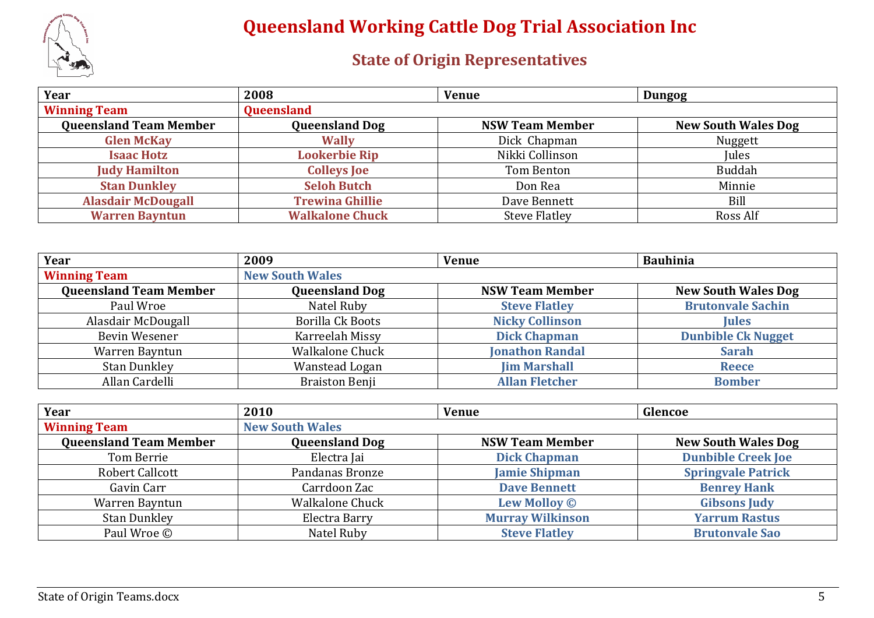

| Year                          | 2008                   | <b>Venue</b>           | <b>Dungog</b>              |
|-------------------------------|------------------------|------------------------|----------------------------|
| <b>Winning Team</b>           | Queensland             |                        |                            |
| <b>Queensland Team Member</b> | <b>Queensland Dog</b>  | <b>NSW Team Member</b> | <b>New South Wales Dog</b> |
| <b>Glen McKay</b>             | <b>Wally</b>           | Dick Chapman           | Nuggett                    |
| <b>Isaac Hotz</b>             | <b>Lookerbie Rip</b>   | Nikki Collinson        | Jules                      |
| <b>Judy Hamilton</b>          | <b>Colleys Joe</b>     | Tom Benton             | Buddah                     |
| <b>Stan Dunkley</b>           | <b>Seloh Butch</b>     | Don Rea                | Minnie                     |
| <b>Alasdair McDougall</b>     | <b>Trewina Ghillie</b> | Dave Bennett           | Bill                       |
| <b>Warren Bayntun</b>         | <b>Walkalone Chuck</b> | <b>Steve Flatley</b>   | Ross Alf                   |

| Year                          | 2009                    | <b>Venue</b>           | <b>Bauhinia</b>            |
|-------------------------------|-------------------------|------------------------|----------------------------|
| <b>Winning Team</b>           | <b>New South Wales</b>  |                        |                            |
| <b>Queensland Team Member</b> | <b>Queensland Dog</b>   | <b>NSW Team Member</b> | <b>New South Wales Dog</b> |
| Paul Wroe                     | Natel Ruby              | <b>Steve Flatley</b>   | <b>Brutonvale Sachin</b>   |
| Alasdair McDougall            | <b>Borilla Ck Boots</b> | <b>Nicky Collinson</b> | <b>Jules</b>               |
| Bevin Wesener                 | Karreelah Missy         | <b>Dick Chapman</b>    | <b>Dunbible Ck Nugget</b>  |
| Warren Bayntun                | <b>Walkalone Chuck</b>  | <b>Jonathon Randal</b> | <b>Sarah</b>               |
| <b>Stan Dunkley</b>           | Wanstead Logan          | <b>Jim Marshall</b>    | <b>Reece</b>               |
| Allan Cardelli                | <b>Braiston Benji</b>   | <b>Allan Fletcher</b>  | <b>Bomber</b>              |

| Year                          | 2010                   | <b>Venue</b>            | Glencoe                    |
|-------------------------------|------------------------|-------------------------|----------------------------|
| <b>Winning Team</b>           | <b>New South Wales</b> |                         |                            |
| <b>Queensland Team Member</b> | <b>Queensland Dog</b>  | <b>NSW Team Member</b>  | <b>New South Wales Dog</b> |
| Tom Berrie                    | Electra Jai            | <b>Dick Chapman</b>     | <b>Dunbible Creek Joe</b>  |
| Robert Callcott               | Pandanas Bronze        | <b>Jamie Shipman</b>    | <b>Springvale Patrick</b>  |
| Gavin Carr                    | Carrdoon Zac           | <b>Dave Bennett</b>     | <b>Benrey Hank</b>         |
| Warren Bayntun                | <b>Walkalone Chuck</b> | <b>Lew Molloy ©</b>     | <b>Gibsons Judy</b>        |
| <b>Stan Dunkley</b>           | Electra Barry          | <b>Murray Wilkinson</b> | <b>Yarrum Rastus</b>       |
| Paul Wroe ©                   | Natel Ruby             | <b>Steve Flatley</b>    | <b>Brutonvale Sao</b>      |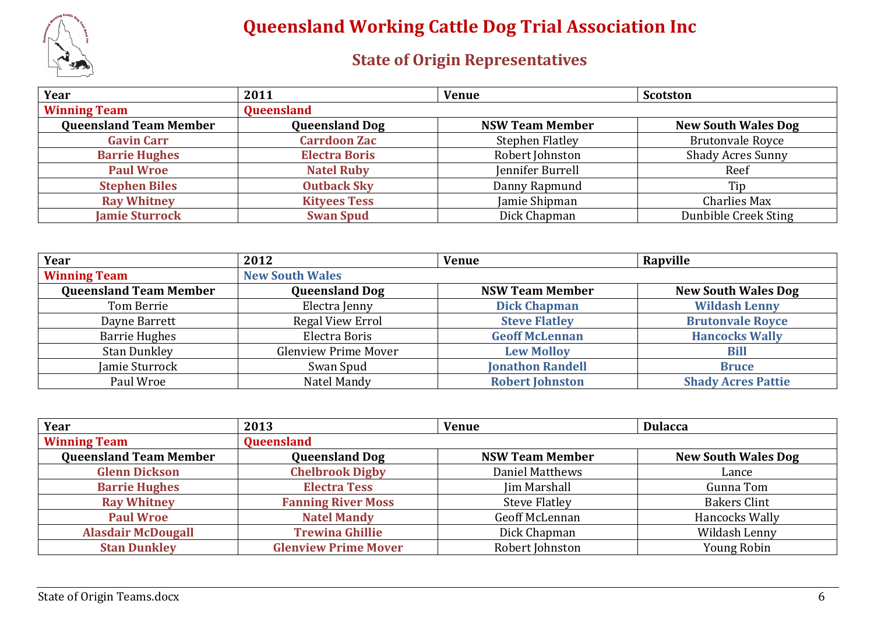

| Year                          | 2011                  | <b>Venue</b>           | <b>Scotston</b>            |
|-------------------------------|-----------------------|------------------------|----------------------------|
| <b>Winning Team</b>           | Queensland            |                        |                            |
| <b>Queensland Team Member</b> | <b>Queensland Dog</b> | <b>NSW Team Member</b> | <b>New South Wales Dog</b> |
| <b>Gavin Carr</b>             | <b>Carrdoon Zac</b>   | <b>Stephen Flatley</b> | <b>Brutonvale Royce</b>    |
| <b>Barrie Hughes</b>          | <b>Electra Boris</b>  | Robert Johnston        | <b>Shady Acres Sunny</b>   |
| <b>Paul Wroe</b>              | <b>Natel Ruby</b>     | Jennifer Burrell       | Reef                       |
| <b>Stephen Biles</b>          | <b>Outback Sky</b>    | Danny Rapmund          | Tip                        |
| <b>Ray Whitney</b>            | <b>Kityees Tess</b>   | Jamie Shipman          | <b>Charlies Max</b>        |
| <b>Jamie Sturrock</b>         | <b>Swan Spud</b>      | Dick Chapman           | Dunbible Creek Sting       |

| Year                          | 2012                        | <b>Venue</b>            | Rapville                   |
|-------------------------------|-----------------------------|-------------------------|----------------------------|
| <b>Winning Team</b>           | <b>New South Wales</b>      |                         |                            |
| <b>Queensland Team Member</b> | <b>Queensland Dog</b>       | <b>NSW Team Member</b>  | <b>New South Wales Dog</b> |
| Tom Berrie                    | Electra Jenny               | <b>Dick Chapman</b>     | <b>Wildash Lenny</b>       |
| Dayne Barrett                 | Regal View Errol            | <b>Steve Flatley</b>    | <b>Brutonvale Royce</b>    |
| <b>Barrie Hughes</b>          | Electra Boris               | <b>Geoff McLennan</b>   | <b>Hancocks Wally</b>      |
| <b>Stan Dunkley</b>           | <b>Glenview Prime Mover</b> | <b>Lew Molloy</b>       | <b>Bill</b>                |
| Jamie Sturrock                | Swan Spud                   | <b>Jonathon Randell</b> | <b>Bruce</b>               |
| Paul Wroe                     | Natel Mandy                 | <b>Robert Johnston</b>  | <b>Shady Acres Pattie</b>  |

| Year                          | 2013                        | <b>Venue</b>           | <b>Dulacca</b>             |
|-------------------------------|-----------------------------|------------------------|----------------------------|
| <b>Winning Team</b>           | Queensland                  |                        |                            |
| <b>Queensland Team Member</b> | <b>Queensland Dog</b>       | <b>NSW Team Member</b> | <b>New South Wales Dog</b> |
| <b>Glenn Dickson</b>          | <b>Chelbrook Digby</b>      | <b>Daniel Matthews</b> | Lance                      |
| <b>Barrie Hughes</b>          | <b>Electra Tess</b>         | <b>Jim Marshall</b>    | Gunna Tom                  |
| <b>Ray Whitney</b>            | <b>Fanning River Moss</b>   | <b>Steve Flatley</b>   | <b>Bakers Clint</b>        |
| <b>Paul Wroe</b>              | <b>Natel Mandy</b>          | Geoff McLennan         | Hancocks Wally             |
| <b>Alasdair McDougall</b>     | <b>Trewina Ghillie</b>      | Dick Chapman           | Wildash Lenny              |
| <b>Stan Dunkley</b>           | <b>Glenview Prime Mover</b> | Robert Johnston        | <b>Young Robin</b>         |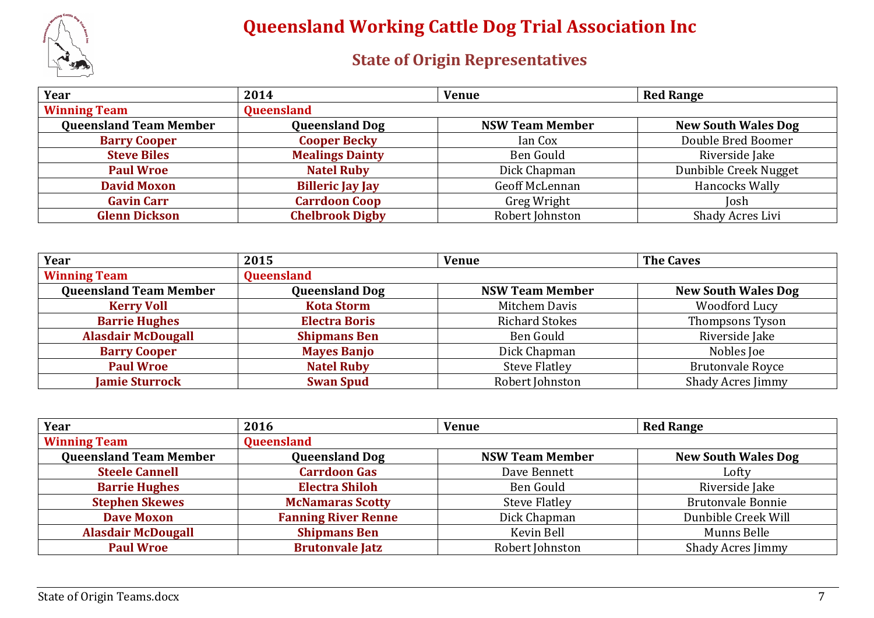

| Year                          | 2014                    | <b>Venue</b>           | <b>Red Range</b>           |
|-------------------------------|-------------------------|------------------------|----------------------------|
| <b>Winning Team</b>           | <b>Queensland</b>       |                        |                            |
| <b>Queensland Team Member</b> | <b>Queensland Dog</b>   | <b>NSW Team Member</b> | <b>New South Wales Dog</b> |
| <b>Barry Cooper</b>           | <b>Cooper Becky</b>     | Ian Cox                | Double Bred Boomer         |
| <b>Steve Biles</b>            | <b>Mealings Dainty</b>  | Ben Gould              | Riverside Jake             |
| <b>Paul Wroe</b>              | <b>Natel Ruby</b>       | Dick Chapman           | Dunbible Creek Nugget      |
| <b>David Moxon</b>            | <b>Billeric Jay Jay</b> | Geoff McLennan         | Hancocks Wally             |
| <b>Gavin Carr</b>             | <b>Carrdoon Coop</b>    | Greg Wright            | Iosh                       |
| <b>Glenn Dickson</b>          | <b>Chelbrook Digby</b>  | Robert Johnston        | Shady Acres Livi           |

| Year                          | 2015                  | <b>Venue</b>           | <b>The Caves</b>           |
|-------------------------------|-----------------------|------------------------|----------------------------|
| <b>Winning Team</b>           | <b>Queensland</b>     |                        |                            |
| <b>Queensland Team Member</b> | <b>Queensland Dog</b> | <b>NSW Team Member</b> | <b>New South Wales Dog</b> |
| <b>Kerry Voll</b>             | <b>Kota Storm</b>     | Mitchem Davis          | Woodford Lucy              |
| <b>Barrie Hughes</b>          | <b>Electra Boris</b>  | <b>Richard Stokes</b>  | <b>Thompsons Tyson</b>     |
| <b>Alasdair McDougall</b>     | <b>Shipmans Ben</b>   | Ben Gould              | Riverside Jake             |
| <b>Barry Cooper</b>           | <b>Mayes Banjo</b>    | Dick Chapman           | Nobles Joe                 |
| <b>Paul Wroe</b>              | <b>Natel Ruby</b>     | <b>Steve Flatley</b>   | <b>Brutonvale Royce</b>    |
| <b>Jamie Sturrock</b>         | <b>Swan Spud</b>      | Robert Johnston        | <b>Shady Acres Jimmy</b>   |

| Year                          | 2016                       | <b>Venue</b>           | <b>Red Range</b>           |
|-------------------------------|----------------------------|------------------------|----------------------------|
| <b>Winning Team</b>           | Queensland                 |                        |                            |
| <b>Queensland Team Member</b> | <b>Queensland Dog</b>      | <b>NSW Team Member</b> | <b>New South Wales Dog</b> |
| <b>Steele Cannell</b>         | <b>Carrdoon Gas</b>        | Dave Bennett           | Lofty                      |
| <b>Barrie Hughes</b>          | <b>Electra Shiloh</b>      | Ben Gould              | Riverside Jake             |
| <b>Stephen Skewes</b>         | <b>McNamaras Scotty</b>    | <b>Steve Flatley</b>   | <b>Brutonvale Bonnie</b>   |
| <b>Dave Moxon</b>             | <b>Fanning River Renne</b> | Dick Chapman           | Dunbible Creek Will        |
| <b>Alasdair McDougall</b>     | <b>Shipmans Ben</b>        | Kevin Bell             | Munns Belle                |
| <b>Paul Wroe</b>              | <b>Brutonvale Jatz</b>     | Robert Johnston        | <b>Shady Acres Jimmy</b>   |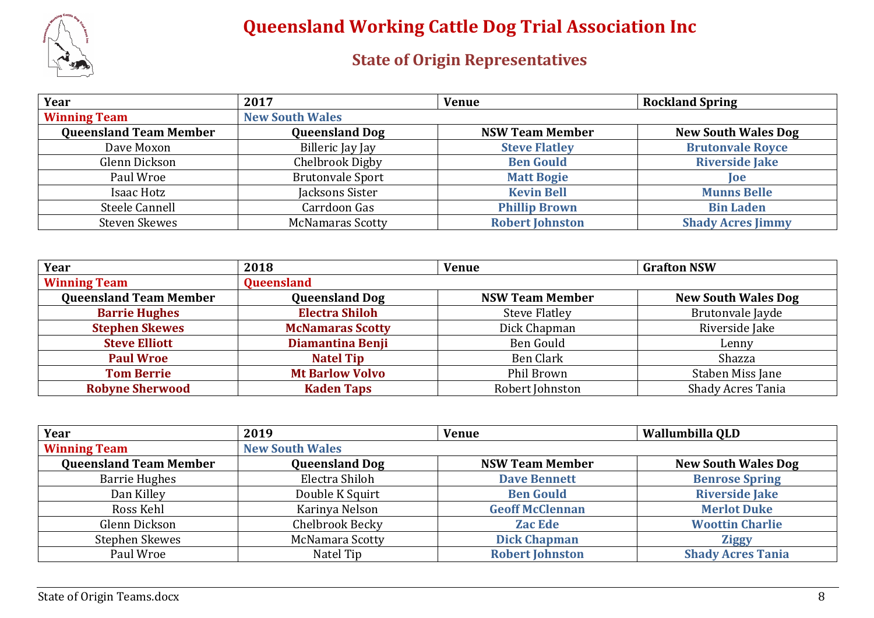

| Year                          | 2017                    | <b>Venue</b>           | <b>Rockland Spring</b>     |
|-------------------------------|-------------------------|------------------------|----------------------------|
| <b>Winning Team</b>           | <b>New South Wales</b>  |                        |                            |
| <b>Queensland Team Member</b> | <b>Queensland Dog</b>   | <b>NSW Team Member</b> | <b>New South Wales Dog</b> |
| Dave Moxon                    | Billeric Jay Jay        | <b>Steve Flatley</b>   | <b>Brutonvale Royce</b>    |
| Glenn Dickson                 | Chelbrook Digby         | <b>Ben Gould</b>       | <b>Riverside Jake</b>      |
| Paul Wroe                     | <b>Brutonvale Sport</b> | <b>Matt Bogie</b>      | <b>loe</b>                 |
| Isaac Hotz                    | Jacksons Sister         | <b>Kevin Bell</b>      | <b>Munns Belle</b>         |
| Steele Cannell                | Carrdoon Gas            | <b>Phillip Brown</b>   | <b>Bin Laden</b>           |
| <b>Steven Skewes</b>          | <b>McNamaras Scotty</b> | <b>Robert Johnston</b> | <b>Shady Acres Jimmy</b>   |

| Year                          | 2018                    | <b>Venue</b>           | <b>Grafton NSW</b>         |
|-------------------------------|-------------------------|------------------------|----------------------------|
| <b>Winning Team</b>           | Queensland              |                        |                            |
| <b>Queensland Team Member</b> | <b>Queensland Dog</b>   | <b>NSW Team Member</b> | <b>New South Wales Dog</b> |
| <b>Barrie Hughes</b>          | <b>Electra Shiloh</b>   | <b>Steve Flatley</b>   | Brutonvale Jayde           |
| <b>Stephen Skewes</b>         | <b>McNamaras Scotty</b> | Dick Chapman           | Riverside Jake             |
| <b>Steve Elliott</b>          | <b>Diamantina Benji</b> | Ben Gould              | Lenny                      |
| <b>Paul Wroe</b>              | <b>Natel Tip</b>        | <b>Ben Clark</b>       | Shazza                     |
| <b>Tom Berrie</b>             | <b>Mt Barlow Volvo</b>  | Phil Brown             | Staben Miss Jane           |
| <b>Robyne Sherwood</b>        | <b>Kaden Taps</b>       | Robert Johnston        | <b>Shady Acres Tania</b>   |

| Year                          | 2019                   | <b>Venue</b>           | Wallumbilla QLD            |
|-------------------------------|------------------------|------------------------|----------------------------|
| <b>Winning Team</b>           | <b>New South Wales</b> |                        |                            |
| <b>Queensland Team Member</b> | <b>Queensland Dog</b>  | <b>NSW Team Member</b> | <b>New South Wales Dog</b> |
| <b>Barrie Hughes</b>          | Electra Shiloh         | <b>Dave Bennett</b>    | <b>Benrose Spring</b>      |
| Dan Killey                    | Double K Squirt        | <b>Ben Gould</b>       | <b>Riverside Jake</b>      |
| Ross Kehl                     | Karinya Nelson         | <b>Geoff McClennan</b> | <b>Merlot Duke</b>         |
| Glenn Dickson                 | Chelbrook Becky        | <b>Zac Ede</b>         | <b>Woottin Charlie</b>     |
| Stephen Skewes                | <b>McNamara Scotty</b> | <b>Dick Chapman</b>    | <b>Ziggy</b>               |
| Paul Wroe                     | Natel Tip              | <b>Robert Johnston</b> | <b>Shady Acres Tania</b>   |